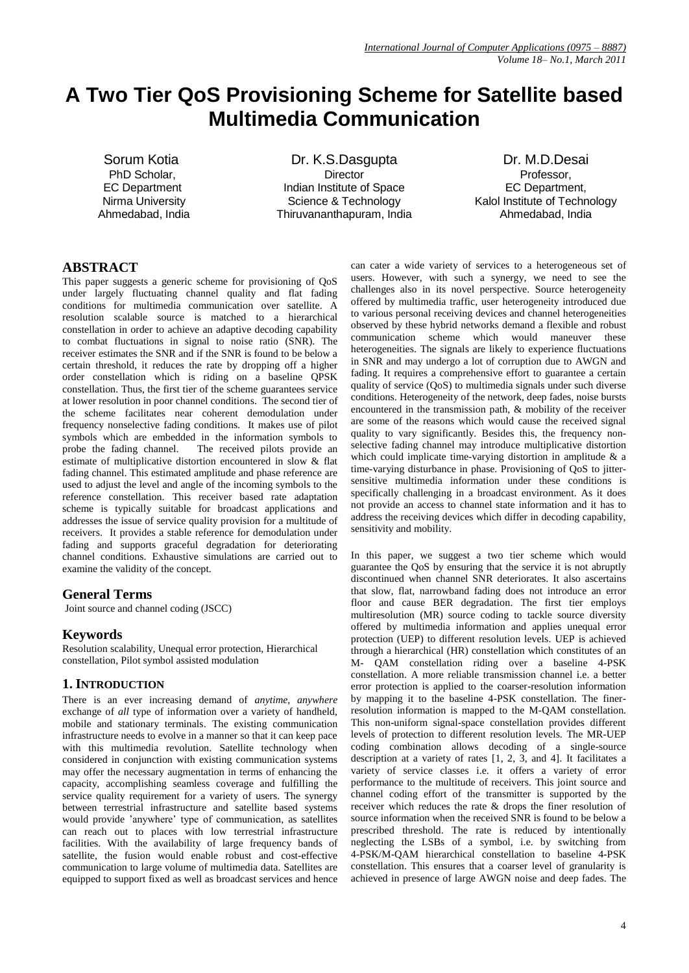# **A Two Tier QoS Provisioning Scheme for Satellite based Multimedia Communication**

 Sorum Kotia PhD Scholar, EC Department Nirma University Ahmedabad, India

Dr. K.S.Dasgupta **Director** Indian Institute of Space Science & Technology Thiruvananthapuram, India

Dr. M.D.Desai Professor, EC Department, Kalol Institute of Technology Ahmedabad, India

# **ABSTRACT**

This paper suggests a generic scheme for provisioning of QoS under largely fluctuating channel quality and flat fading conditions for multimedia communication over satellite. A resolution scalable source is matched to a hierarchical constellation in order to achieve an adaptive decoding capability to combat fluctuations in signal to noise ratio (SNR). The receiver estimates the SNR and if the SNR is found to be below a certain threshold, it reduces the rate by dropping off a higher order constellation which is riding on a baseline QPSK constellation. Thus, the first tier of the scheme guarantees service at lower resolution in poor channel conditions. The second tier of the scheme facilitates near coherent demodulation under frequency nonselective fading conditions. It makes use of pilot symbols which are embedded in the information symbols to probe the fading channel. The received pilots provide an estimate of multiplicative distortion encountered in slow & flat fading channel. This estimated amplitude and phase reference are used to adjust the level and angle of the incoming symbols to the reference constellation. This receiver based rate adaptation scheme is typically suitable for broadcast applications and addresses the issue of service quality provision for a multitude of receivers. It provides a stable reference for demodulation under fading and supports graceful degradation for deteriorating channel conditions. Exhaustive simulations are carried out to examine the validity of the concept.

## **General Terms**

Joint source and channel coding (JSCC)

## **Keywords**

Resolution scalability, Unequal error protection, Hierarchical constellation, Pilot symbol assisted modulation

## **1. INTRODUCTION**

There is an ever increasing demand of *anytime*, *anywhere* exchange of *all* type of information over a variety of handheld, mobile and stationary terminals. The existing communication infrastructure needs to evolve in a manner so that it can keep pace with this multimedia revolution. Satellite technology when considered in conjunction with existing communication systems may offer the necessary augmentation in terms of enhancing the capacity, accomplishing seamless coverage and fulfilling the service quality requirement for a variety of users. The synergy between terrestrial infrastructure and satellite based systems would provide 'anywhere' type of communication, as satellites can reach out to places with low terrestrial infrastructure facilities. With the availability of large frequency bands of satellite, the fusion would enable robust and cost-effective communication to large volume of multimedia data. Satellites are equipped to support fixed as well as broadcast services and hence

can cater a wide variety of services to a heterogeneous set of users. However, with such a synergy, we need to see the challenges also in its novel perspective. Source heterogeneity offered by multimedia traffic, user heterogeneity introduced due to various personal receiving devices and channel heterogeneities observed by these hybrid networks demand a flexible and robust communication scheme which would maneuver these heterogeneities. The signals are likely to experience fluctuations in SNR and may undergo a lot of corruption due to AWGN and fading. It requires a comprehensive effort to guarantee a certain quality of service (QoS) to multimedia signals under such diverse conditions. Heterogeneity of the network, deep fades, noise bursts encountered in the transmission path, & mobility of the receiver are some of the reasons which would cause the received signal quality to vary significantly. Besides this, the frequency nonselective fading channel may introduce multiplicative distortion which could implicate time-varying distortion in amplitude & a time-varying disturbance in phase. Provisioning of QoS to jittersensitive multimedia information under these conditions is specifically challenging in a broadcast environment. As it does not provide an access to channel state information and it has to address the receiving devices which differ in decoding capability, sensitivity and mobility.

In this paper, we suggest a two tier scheme which would guarantee the QoS by ensuring that the service it is not abruptly discontinued when channel SNR deteriorates. It also ascertains that slow, flat, narrowband fading does not introduce an error floor and cause BER degradation. The first tier employs multiresolution (MR) source coding to tackle source diversity offered by multimedia information and applies unequal error protection (UEP) to different resolution levels. UEP is achieved through a hierarchical (HR) constellation which constitutes of an M- QAM constellation riding over a baseline 4-PSK constellation. A more reliable transmission channel i.e. a better error protection is applied to the coarser-resolution information by mapping it to the baseline 4-PSK constellation. The finerresolution information is mapped to the M-QAM constellation. This non-uniform signal-space constellation provides different levels of protection to different resolution levels. The MR-UEP coding combination allows decoding of a single-source description at a variety of rates [1, 2, 3, and 4]. It facilitates a variety of service classes i.e. it offers a variety of error performance to the multitude of receivers. This joint source and channel coding effort of the transmitter is supported by the receiver which reduces the rate & drops the finer resolution of source information when the received SNR is found to be below a prescribed threshold. The rate is reduced by intentionally neglecting the LSBs of a symbol, i.e. by switching from 4-PSK/M-QAM hierarchical constellation to baseline 4-PSK constellation. This ensures that a coarser level of granularity is achieved in presence of large AWGN noise and deep fades. The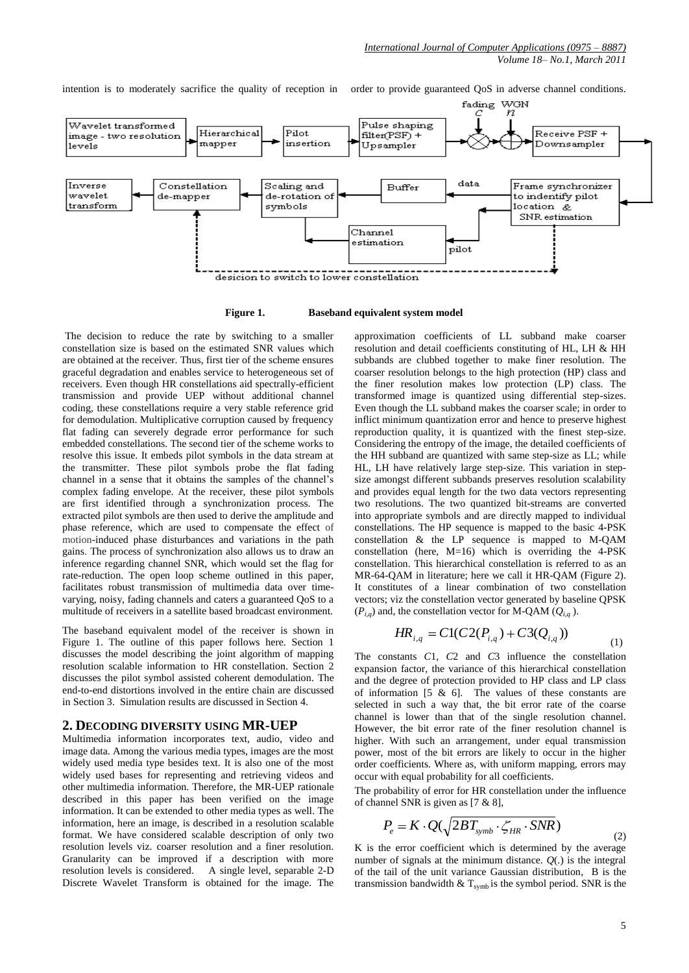intention is to moderately sacrifice the quality of reception in order to provide guaranteed QoS in adverse channel conditions.



**Figure 1. Baseband equivalent system model**

The decision to reduce the rate by switching to a smaller constellation size is based on the estimated SNR values which are obtained at the receiver. Thus, first tier of the scheme ensures graceful degradation and enables service to heterogeneous set of receivers. Even though HR constellations aid spectrally-efficient transmission and provide UEP without additional channel coding, these constellations require a very stable reference grid for demodulation. Multiplicative corruption caused by frequency flat fading can severely degrade error performance for such embedded constellations. The second tier of the scheme works to resolve this issue. It embeds pilot symbols in the data stream at the transmitter. These pilot symbols probe the flat fading channel in a sense that it obtains the samples of the channel's complex fading envelope. At the receiver, these pilot symbols are first identified through a synchronization process. The extracted pilot symbols are then used to derive the amplitude and phase reference, which are used to compensate the effect of motion-induced phase disturbances and variations in the path gains. The process of synchronization also allows us to draw an inference regarding channel SNR, which would set the flag for rate-reduction. The open loop scheme outlined in this paper, facilitates robust transmission of multimedia data over timevarying, noisy, fading channels and caters a guaranteed QoS to a multitude of receivers in a satellite based broadcast environment.

The baseband equivalent model of the receiver is shown in Figure 1. The outline of this paper follows here. Section 1 discusses the model describing the joint algorithm of mapping resolution scalable information to HR constellation. Section 2 discusses the pilot symbol assisted coherent demodulation. The end-to-end distortions involved in the entire chain are discussed in Section 3. Simulation results are discussed in Section 4.

#### **2. DECODING DIVERSITY USING MR-UEP**

Multimedia information incorporates text, audio, video and image data. Among the various media types, images are the most widely used media type besides text. It is also one of the most widely used bases for representing and retrieving videos and other multimedia information. Therefore, the MR-UEP rationale described in this paper has been verified on the image information. It can be extended to other media types as well. The information, here an image, is described in a resolution scalable format. We have considered scalable description of only two resolution levels viz. coarser resolution and a finer resolution. Granularity can be improved if a description with more resolution levels is considered. A single level, separable 2-D Discrete Wavelet Transform is obtained for the image. The

approximation coefficients of LL subband make coarser resolution and detail coefficients constituting of HL, LH & HH subbands are clubbed together to make finer resolution. The coarser resolution belongs to the high protection (HP) class and the finer resolution makes low protection (LP) class. The transformed image is quantized using differential step-sizes. Even though the LL subband makes the coarser scale; in order to inflict minimum quantization error and hence to preserve highest reproduction quality, it is quantized with the finest step-size. Considering the entropy of the image, the detailed coefficients of the HH subband are quantized with same step-size as LL; while HL, LH have relatively large step-size. This variation in stepsize amongst different subbands preserves resolution scalability and provides equal length for the two data vectors representing two resolutions. The two quantized bit-streams are converted into appropriate symbols and are directly mapped to individual constellations. The HP sequence is mapped to the basic 4-PSK constellation & the LP sequence is mapped to M-QAM constellation (here, M=16) which is overriding the 4-PSK constellation. This hierarchical constellation is referred to as an MR-64-QAM in literature; here we call it HR-QAM (Figure 2). It constitutes of a linear combination of two constellation vectors; viz the constellation vector generated by baseline QPSK  $(P_{i,q})$  and, the constellation vector for M-QAM  $(Q_{i,q})$ .

$$
HR_{i,q} = C1(C2(P_{i,q}) + C3(Q_{i,q}))
$$
\n(1)

The constants *C*1, *C*2 and *C*3 influence the constellation expansion factor, the variance of this hierarchical constellation and the degree of protection provided to HP class and LP class of information [5 & 6]. The values of these constants are selected in such a way that, the bit error rate of the coarse channel is lower than that of the single resolution channel. However, the bit error rate of the finer resolution channel is higher. With such an arrangement, under equal transmission power, most of the bit errors are likely to occur in the higher order coefficients. Where as, with uniform mapping, errors may occur with equal probability for all coefficients.

The probability of error for HR constellation under the influence of channel SNR is given as [7 & 8],

$$
P_e = K \cdot Q(\sqrt{2BT_{\text{symb}} \cdot \zeta_{HR} \cdot SNR})
$$
\n(2)

K is the error coefficient which is determined by the average number of signals at the minimum distance.  $O(.)$  is the integral of the tail of the unit variance Gaussian distribution, B is the transmission bandwidth  $&$  T<sub>symb</sub> is the symbol period. SNR is the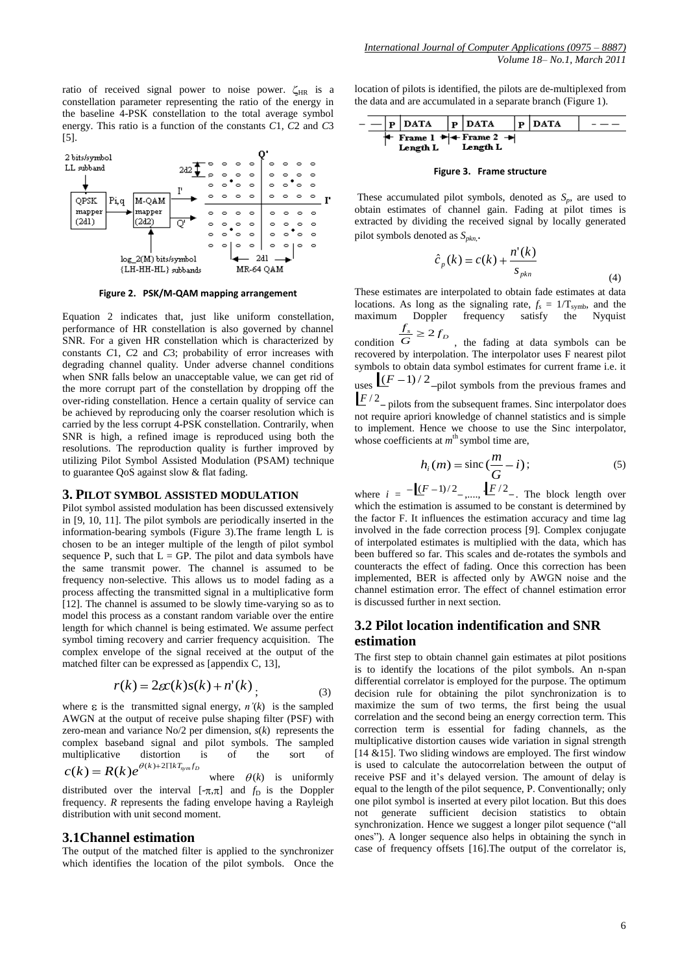

**Figure 2. PSK/M-QAM mapping arrangement** 

Equation 2 indicates that, just like uniform constellation, performance of HR constellation is also governed by channel SNR. For a given HR constellation which is characterized by constants *C*1, *C*2 and *C*3; probability of error increases with degrading channel quality. Under adverse channel conditions when SNR falls below an unacceptable value, we can get rid of the more corrupt part of the constellation by dropping off the over-riding constellation. Hence a certain quality of service can be achieved by reproducing only the coarser resolution which is carried by the less corrupt 4-PSK constellation. Contrarily, when SNR is high, a refined image is reproduced using both the resolutions. The reproduction quality is further improved by utilizing Pilot Symbol Assisted Modulation (PSAM) technique to guarantee QoS against slow & flat fading.

#### **3. PILOT SYMBOL ASSISTED MODULATION**

Pilot symbol assisted modulation has been discussed extensively in [9, 10, 11]. The pilot symbols are periodically inserted in the information-bearing symbols (Figure 3).The frame length L is chosen to be an integer multiple of the length of pilot symbol sequence P, such that  $L = GP$ . The pilot and data symbols have the same transmit power. The channel is assumed to be frequency non-selective. This allows us to model fading as a process affecting the transmitted signal in a multiplicative form [12]. The channel is assumed to be slowly time-varying so as to model this process as a constant random variable over the entire length for which channel is being estimated. We assume perfect symbol timing recovery and carrier frequency acquisition. The complex envelope of the signal received at the output of the matched filter can be expressed as [appendix C, 13],

$$
r(k) = 2\epsilon c(k)s(k) + n'(k)
$$
\n(3)

where  $\varepsilon$  is the transmitted signal energy,  $n'(k)$  is the sampled AWGN at the output of receive pulse shaping filter (PSF) with zero-mean and variance No/2 per dimension, *s*(*k*) represents the complex baseband signal and pilot symbols. The sampled multiplicative distortion is of the sort of  $c(k) = R(k)e^{\theta(k)+2\prod kT_{sym}f_D}$ 

where  $\theta(k)$  is uniformly distributed over the interval  $[-\pi,\pi]$  and  $f<sub>D</sub>$  is the Doppler frequency. *R* represents the fading envelope having a Rayleigh distribution with unit second moment.

## **3.1Channel estimation**

The output of the matched filter is applied to the synchronizer which identifies the location of the pilot symbols. Once the

location of pilots is identified, the pilots are de-multiplexed from the data and are accumulated in a separate branch (Figure 1).

$$
-\frac{|P| \text{DATA} |P| \text{DATA} |P| \text{DATA} |P|}{|\text{Frame 1}|\text{+}|\text{Frame 2}|\text{+}|} - \frac{|P| \text{DATA} |P|}{\text{Length L}}
$$

#### **Figure 3. Frame structure**

These accumulated pilot symbols, denoted as  $S_p$ , are used to obtain estimates of channel gain. Fading at pilot times is extracted by dividing the received signal by locally generated pilot symbols denoted as *Spkn*, .

$$
\hat{c}_p(k) = c(k) + \frac{n'(k)}{s_{pkn}}\tag{4}
$$

These estimates are interpolated to obtain fade estimates at data locations. As long as the signaling rate,  $f_s = 1/T_{symb}$ , and the maximum Doppler frequency satisfy the Nyquist

condition  $\frac{f_s}{G} \ge 2 f_D$  $\frac{f_s}{G} \geq 2f_b$ , the fading at data symbols can be recovered by interpolation. The interpolator uses F nearest pilot symbols to obtain data symbol estimates for current frame i.e. it uses  $(f - 1)/2$  –pilot symbols from the previous frames and

 $F^{2}$  – pilots from the subsequent frames. Sinc interpolator does not require apriori knowledge of channel statistics and is simple to implement. Hence we choose to use the Sinc interpolator, whose coefficients at  $m<sup>th</sup>$  symbol time are,

$$
h_i(m) = \operatorname{sinc}\left(\frac{m}{G} - i\right); \tag{5}
$$

where  $i = -[(F-1)/2_{-},...,F/2_{-}]\$ . The block length over which the estimation is assumed to be constant is determined by the factor F. It influences the estimation accuracy and time lag involved in the fade correction process [9]. Complex conjugate of interpolated estimates is multiplied with the data, which has been buffered so far. This scales and de-rotates the symbols and counteracts the effect of fading. Once this correction has been implemented, BER is affected only by AWGN noise and the channel estimation error. The effect of channel estimation error is discussed further in next section.

## **3.2 Pilot location indentification and SNR estimation**

The first step to obtain channel gain estimates at pilot positions is to identify the locations of the pilot symbols. An n-span differential correlator is employed for the purpose. The optimum decision rule for obtaining the pilot synchronization is to maximize the sum of two terms, the first being the usual correlation and the second being an energy correction term. This correction term is essential for fading channels, as the multiplicative distortion causes wide variation in signal strength [14  $&$ 15]. Two sliding windows are employed. The first window is used to calculate the autocorrelation between the output of receive PSF and it's delayed version. The amount of delay is equal to the length of the pilot sequence, P. Conventionally; only one pilot symbol is inserted at every pilot location. But this does not generate sufficient decision statistics to obtain synchronization. Hence we suggest a longer pilot sequence ("all ones"). A longer sequence also helps in obtaining the synch in case of frequency offsets [16].The output of the correlator is,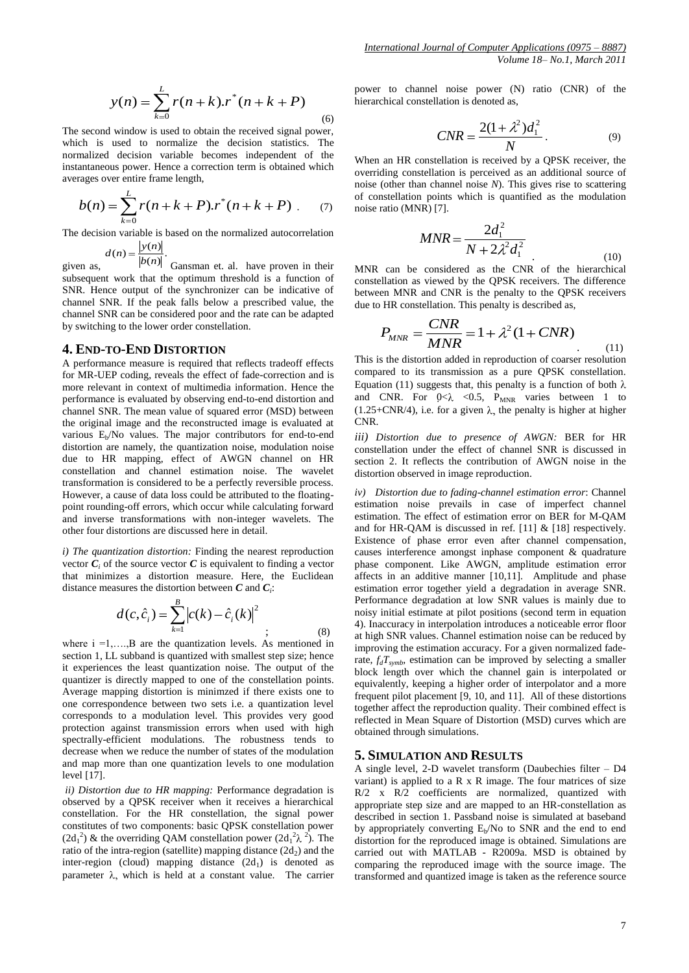$$
y(n) = \sum_{k=0}^{L} r(n+k).r^{*}(n+k+P)
$$
\n(6)

The second window is used to obtain the received signal power, which is used to normalize the decision statistics. The normalized decision variable becomes independent of the instantaneous power. Hence a correction term is obtained which averages over entire frame length,

$$
b(n) = \sum_{k=0}^{L} r(n+k+P).r^{*}(n+k+P) \tag{7}
$$

The decision variable is based on the normalized autocorrelation

$$
d(n) = \frac{|y(n)|}{|y(n)|}.
$$

*L*

given as,  $\frac{\partial f(n)}{\partial (n)}$ . Gansman et. al. have proven in their subsequent work that the optimum threshold is a function of SNR. Hence output of the synchronizer can be indicative of channel SNR. If the peak falls below a prescribed value, the channel SNR can be considered poor and the rate can be adapted by switching to the lower order constellation.

#### **4. END-TO-END DISTORTION**

A performance measure is required that reflects tradeoff effects for MR-UEP coding, reveals the effect of fade-correction and is more relevant in context of multimedia information. Hence the performance is evaluated by observing end-to-end distortion and channel SNR. The mean value of squared error (MSD) between the original image and the reconstructed image is evaluated at various E<sub>b</sub>/No values. The major contributors for end-to-end distortion are namely, the quantization noise, modulation noise due to HR mapping, effect of AWGN channel on HR constellation and channel estimation noise. The wavelet transformation is considered to be a perfectly reversible process. However, a cause of data loss could be attributed to the floatingpoint rounding-off errors, which occur while calculating forward and inverse transformations with non-integer wavelets. The other four distortions are discussed here in detail.

*i) The quantization distortion:* Finding the nearest reproduction vector  $C_i$  of the source vector  $C$  is equivalent to finding a vector that minimizes a distortion measure. Here, the Euclidean distance measures the distortion between *C* and *C<sup>i</sup>* :

$$
d(c, \hat{c}_i) = \sum_{k=1}^{B} |c(k) - \hat{c}_i(k)|^2
$$
 (8)

where  $i = 1, \ldots, B$  are the quantization levels. As mentioned in section 1, LL subband is quantized with smallest step size; hence it experiences the least quantization noise. The output of the quantizer is directly mapped to one of the constellation points. Average mapping distortion is minimzed if there exists one to one correspondence between two sets i.e. a quantization level corresponds to a modulation level. This provides very good protection against transmission errors when used with high spectrally-efficient modulations. The robustness tends to decrease when we reduce the number of states of the modulation and map more than one quantization levels to one modulation level [17].

*ii) Distortion due to HR mapping:* Performance degradation is observed by a QPSK receiver when it receives a hierarchical constellation. For the HR constellation, the signal power constitutes of two components: basic QPSK constellation power  $(2d_1^2)$  & the overriding QAM constellation power  $(2d_1^2 \lambda^2)$ . The ratio of the intra-region (satellite) mapping distance  $(2d_2)$  and the inter-region (cloud) mapping distance  $(2d_1)$  is denoted as parameter  $\lambda$ , which is held at a constant value. The carrier

power to channel noise power (N) ratio (CNR) of the hierarchical constellation is denoted as,

$$
CNR = \frac{2(1+\lambda^2)d_1^2}{N}.
$$
 (9)

When an HR constellation is received by a QPSK receiver, the overriding constellation is perceived as an additional source of noise (other than channel noise *N*). This gives rise to scattering of constellation points which is quantified as the modulation noise ratio (MNR) [7].

$$
MNR = \frac{2d_1^2}{N + 2\lambda^2 d_1^2}
$$
 (10)

MNR can be considered as the CNR of the hierarchical constellation as viewed by the QPSK receivers. The difference between MNR and CNR is the penalty to the QPSK receivers due to HR constellation. This penalty is described as,

$$
P_{MNR} = \frac{CNR}{MNR} = 1 + \lambda^2 (1 + CNR)
$$
\n(11)

This is the distortion added in reproduction of coarser resolution compared to its transmission as a pure QPSK constellation. Equation (11) suggests that, this penalty is a function of both  $\lambda$ and CNR. For  $0<\lambda < 0.5$ ,  $P_{MNR}$  varies between 1 to (1.25+CNR/4), i.e. for a given  $\lambda$ , the penalty is higher at higher CNR.

*iii) Distortion due to presence of AWGN:* BER for HR constellation under the effect of channel SNR is discussed in section 2. It reflects the contribution of AWGN noise in the distortion observed in image reproduction.

*iv) Distortion due to fading-channel estimation error*: Channel estimation noise prevails in case of imperfect channel estimation. The effect of estimation error on BER for M-QAM and for HR-QAM is discussed in ref. [11] & [18] respectively. Existence of phase error even after channel compensation, causes interference amongst inphase component & quadrature phase component. Like AWGN, amplitude estimation error affects in an additive manner [10,11]. Amplitude and phase estimation error together yield a degradation in average SNR. Performance degradation at low SNR values is mainly due to noisy initial estimate at pilot positions (second term in equation 4). Inaccuracy in interpolation introduces a noticeable error floor at high SNR values. Channel estimation noise can be reduced by improving the estimation accuracy. For a given normalized faderate,  $f_dT_{symb}$ , estimation can be improved by selecting a smaller block length over which the channel gain is interpolated or equivalently, keeping a higher order of interpolator and a more frequent pilot placement [9, 10, and 11]. All of these distortions together affect the reproduction quality. Their combined effect is reflected in Mean Square of Distortion (MSD) curves which are obtained through simulations.

#### **5. SIMULATION AND RESULTS**

A single level, 2-D wavelet transform (Daubechies filter – D4 variant) is applied to a  $R \times R$  image. The four matrices of size  $R/2$  x  $R/2$  coefficients are normalized, quantized with appropriate step size and are mapped to an HR-constellation as described in section 1. Passband noise is simulated at baseband by appropriately converting  $E<sub>b</sub>/No$  to SNR and the end to end distortion for the reproduced image is obtained. Simulations are carried out with MATLAB - R2009a. MSD is obtained by comparing the reproduced image with the source image. The transformed and quantized image is taken as the reference source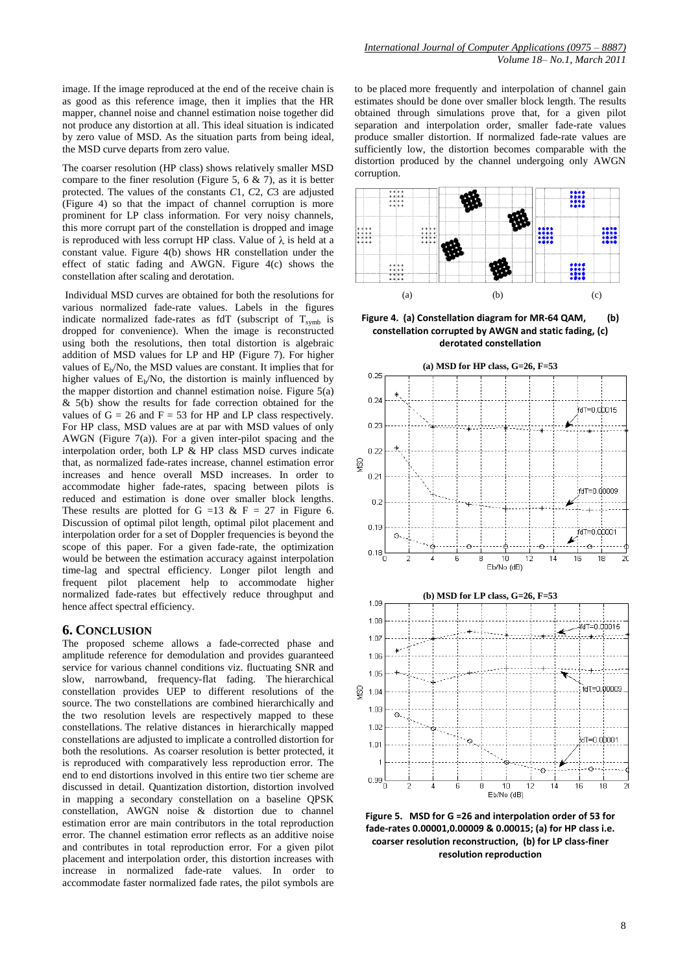image. If the image reproduced at the end of the receive chain is as good as this reference image, then it implies that the HR mapper, channel noise and channel estimation noise together did not produce any distortion at all. This ideal situation is indicated by zero value of MSD. As the situation parts from being ideal, the MSD curve departs from zero value.

The coarser resolution (HP class) shows relatively smaller MSD compare to the finer resolution (Figure 5, 6  $\&$  7), as it is better protected. The values of the constants *C*1, *C*2, *C*3 are adjusted (Figure 4) so that the impact of channel corruption is more prominent for LP class information. For very noisy channels, this more corrupt part of the constellation is dropped and image is reproduced with less corrupt HP class. Value of  $\lambda$  is held at a constant value. Figure 4(b) shows HR constellation under the effect of static fading and AWGN. Figure 4(c) shows the constellation after scaling and derotation.

Individual MSD curves are obtained for both the resolutions for various normalized fade-rate values. Labels in the figures indicate normalized fade-rates as fdT (subscript of  $T_{\text{swmb}}$  is dropped for convenience). When the image is reconstructed using both the resolutions, then total distortion is algebraic addition of MSD values for LP and HP (Figure 7). For higher values of  $E_b/No$ , the MSD values are constant. It implies that for higher values of  $E_b/No$ , the distortion is mainly influenced by the mapper distortion and channel estimation noise. Figure 5(a) & 5(b) show the results for fade correction obtained for the values of  $G = 26$  and  $F = 53$  for HP and LP class respectively. For HP class, MSD values are at par with MSD values of only AWGN (Figure  $7(a)$ ). For a given inter-pilot spacing and the interpolation order, both LP & HP class MSD curves indicate that, as normalized fade-rates increase, channel estimation error increases and hence overall MSD increases. In order to accommodate higher fade-rates, spacing between pilots is reduced and estimation is done over smaller block lengths. These results are plotted for G =13 & F = 27 in Figure 6. Discussion of optimal pilot length, optimal pilot placement and interpolation order for a set of Doppler frequencies is beyond the scope of this paper. For a given fade-rate, the optimization would be between the estimation accuracy against interpolation time-lag and spectral efficiency. Longer pilot length and frequent pilot placement help to accommodate higher normalized fade-rates but effectively reduce throughput and hence affect spectral efficiency.

### **6. CONCLUSION**

The proposed scheme allows a fade-corrected phase and amplitude reference for demodulation and provides guaranteed service for various channel conditions viz. fluctuating SNR and slow, narrowband, frequency-flat fading. The hierarchical constellation provides UEP to different resolutions of the source. The two constellations are combined hierarchically and the two resolution levels are respectively mapped to these constellations. The relative distances in hierarchically mapped constellations are adjusted to implicate a controlled distortion for both the resolutions. As coarser resolution is better protected, it is reproduced with comparatively less reproduction error. The end to end distortions involved in this entire two tier scheme are discussed in detail. Quantization distortion, distortion involved in mapping a secondary constellation on a baseline QPSK constellation, AWGN noise & distortion due to channel estimation error are main contributors in the total reproduction error. The channel estimation error reflects as an additive noise and contributes in total reproduction error. For a given pilot placement and interpolation order, this distortion increases with increase in normalized fade-rate values. In order to accommodate faster normalized fade rates, the pilot symbols are

to be placed more frequently and interpolation of channel gain estimates should be done over smaller block length. The results obtained through simulations prove that, for a given pilot separation and interpolation order, smaller fade-rate values produce smaller distortion. If normalized fade-rate values are sufficiently low, the distortion becomes comparable with the distortion produced by the channel undergoing only AWGN corruption.



**Figure 4. (a) Constellation diagram for MR-64 QAM, (b) constellation corrupted by AWGN and static fading, (c) derotated constellation**



**Figure 5. MSD for G =26 and interpolation order of 53 for fade-rates 0.00001,0.00009 & 0.00015; (a) for HP class i.e. coarser resolution reconstruction, (b) for LP class-finer resolution reproduction**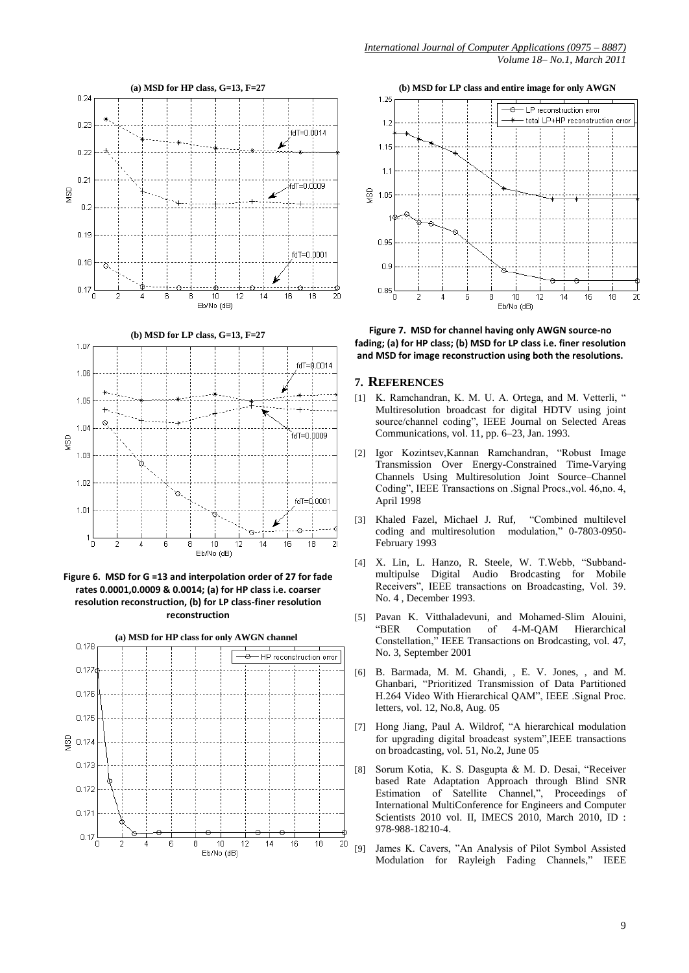

**Figure 6. MSD for G =13 and interpolation order of 27 for fade rates 0.0001,0.0009 & 0.0014; (a) for HP class i.e. coarser resolution reconstruction, (b) for LP class-finer resolution reconstruction**



**(b) MSD for LP class and entire image for only AWGN** 



**Figure 7. MSD for channel having only AWGN source-no fading; (a) for HP class; (b) MSD for LP class i.e. finer resolution and MSD for image reconstruction using both the resolutions.**

#### **7. REFERENCES**

- [1] K. Ramchandran, K. M. U. A. Ortega, and M. Vetterli, " Multiresolution broadcast for digital HDTV using joint source/channel coding", IEEE Journal on Selected Areas Communications, vol. 11, pp. 6–23, Jan. 1993.
- [2] Igor Kozintsev,Kannan Ramchandran, "Robust Image Transmission Over Energy-Constrained Time-Varying Channels Using Multiresolution Joint Source–Channel Coding", IEEE Transactions on .Signal Procs.,vol. 46,no. 4, April 1998
- [3] Khaled Fazel, Michael J. Ruf, "Combined multilevel coding and multiresolution February 1993
- [4] X. Lin, L. Hanzo, R. Steele, W. T.Webb, "Subbandmultipulse Digital Audio Brodcasting for Mobile Receivers", IEEE transactions on Broadcasting, Vol. 39. No. 4 , December 1993.
- [5] Pavan K. Vitthaladevuni, and Mohamed-Slim Alouini, "BER Computation of 4-M-QAM Hierarchical Constellation," IEEE Transactions on Brodcasting, vol. 47, No. 3, September 2001
- [6] B. Barmada, M. M. Ghandi*,* , E. V. Jones*,* , and M. Ghanbari*,* "Prioritized Transmission of Data Partitioned H.264 Video With Hierarchical QAM", IEEE .Signal Proc. letters, vol. 12, No.8, Aug. 05
- [7] Hong Jiang, Paul A. Wildrof, "A hierarchical modulation for upgrading digital broadcast system",IEEE transactions on broadcasting, vol. 51, No.2, June 05
- [8] Sorum Kotia, K. S. Dasgupta & M. D. Desai, "Receiver based Rate Adaptation Approach through Blind SNR Estimation of Satellite Channel,", Proceedings of International MultiConference for Engineers and Computer Scientists 2010 vol. II, IMECS 2010, March 2010, ID : 978-988-18210-4.
- [9] James K. Cavers, "An Analysis of Pilot Symbol Assisted Modulation for Rayleigh Fading Channels," IEEE